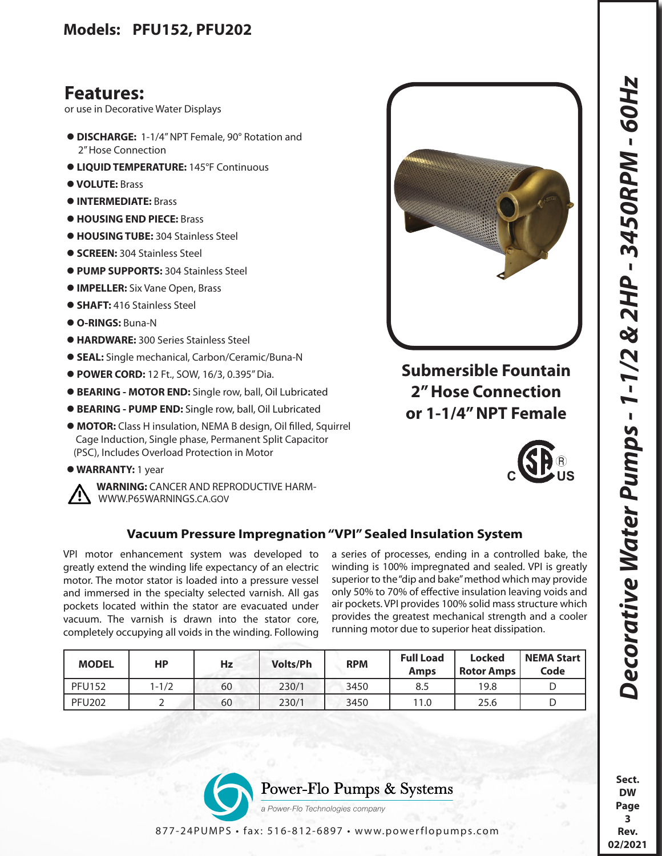## **Features:**

or use in Decorative Water Displays

- **DISCHARGE:** 1-1/4" NPT Female, 90° Rotation and 2" Hose Connection
- **LIQUID TEMPERATURE:** 145°F Continuous
- **VOLUTE:** Brass
- **INTERMEDIATE:** Brass
- **HOUSING END PIECE:** Brass
- **HOUSING TUBE:** 304 Stainless Steel
- **SCREEN:** 304 Stainless Steel
- **PUMP SUPPORTS:** 304 Stainless Steel
- **IMPELLER:** Six Vane Open, Brass
- **SHAFT:** 416 Stainless Steel
- **O-RINGS:** Buna-N
- **HARDWARE:** 300 Series Stainless Steel
- **SEAL:** Single mechanical, Carbon/Ceramic/Buna-N
- **POWER CORD:** 12 Ft., SOW, 16/3, 0.395" Dia.
- **BEARING MOTOR END:** Single row, ball, Oil Lubricated
- **BEARING PUMP END:** Single row, ball, Oil Lubricated
- **MOTOR:** Class H insulation, NEMA B design, Oil filled, Squirrel Cage Induction, Single phase, Permanent Split Capacitor (PSC), Includes Overload Protection in Motor
- **WARRANTY:** 1 year



 **WARNING:** CANCER AND REPRODUCTIVE HARM- WWW.P65WARNINGS.CA.GOV



**Submersible Fountain 2" Hose Connection or 1-1/4" NPT Female**



## **Vacuum Pressure Impregnation "VPI" Sealed Insulation System**

VPI motor enhancement system was developed to greatly extend the winding life expectancy of an electric motor. The motor stator is loaded into a pressure vessel and immersed in the specialty selected varnish. All gas pockets located within the stator are evacuated under vacuum. The varnish is drawn into the stator core, completely occupying all voids in the winding. Following a series of processes, ending in a controlled bake, the winding is 100% impregnated and sealed. VPI is greatly superior to the "dip and bake" method which may provide only 50% to 70% of effective insulation leaving voids and air pockets. VPI provides 100% solid mass structure which provides the greatest mechanical strength and a cooler running motor due to superior heat dissipation.

| <b>MODEL</b>  | НP        | Hz | <b>Volts/Ph</b> | <b>RPM</b> | <b>Full Load</b><br>Amps | <b>Locked</b><br><b>Rotor Amps</b> | <b>NEMA Start</b><br>Code |
|---------------|-----------|----|-----------------|------------|--------------------------|------------------------------------|---------------------------|
| <b>PFU152</b> | $1 - 1/2$ | 60 | 230/1           | 3450       | 8.5                      | 19.8                               |                           |
| <b>PFU202</b> |           | 60 | 230/1           | 3450       | 11.0                     | 25.6                               |                           |



**Sect. DW Page 3 Rev. 02/2021**

877-24PUMPS • fax: 516-812-6897 • www.powerflopumps.com